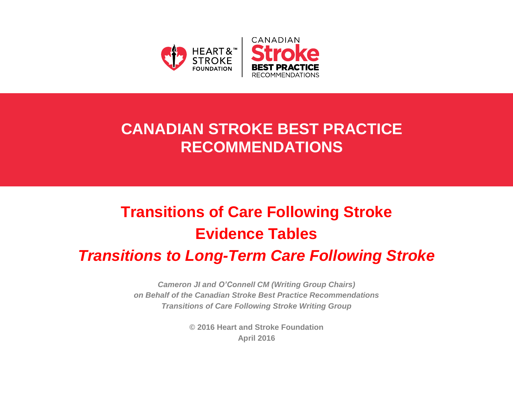

## **CANADIAN STROKE BEST PRACTICE RECOMMENDATIONS**

# **Transitions of Care Following Stroke Evidence Tables**

## *Transitions to Long-Term Care Following Stroke*

*Cameron JI and O'Connell CM (Writing Group Chairs) on Behalf of the Canadian Stroke Best Practice Recommendations Transitions of Care Following Stroke Writing Group*

> **© 2016 Heart and Stroke Foundation April 2016**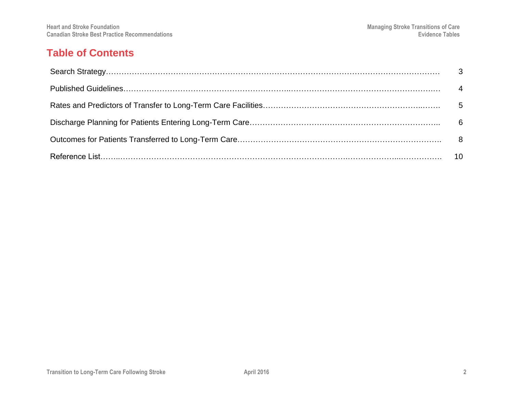#### **Table of Contents**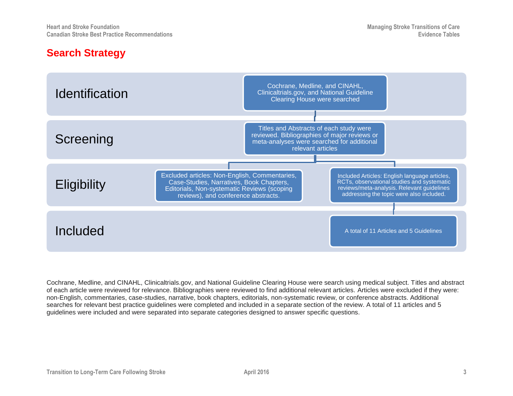#### **Search Strategy**



Cochrane, Medline, and CINAHL, Clinicaltrials.gov, and National Guideline Clearing House were search using medical subject. Titles and abstract of each article were reviewed for relevance. Bibliographies were reviewed to find additional relevant articles. Articles were excluded if they were: non-English, commentaries, case-studies, narrative, book chapters, editorials, non-systematic review, or conference abstracts. Additional searches for relevant best practice guidelines were completed and included in a separate section of the review. A total of 11 articles and 5 guidelines were included and were separated into separate categories designed to answer specific questions.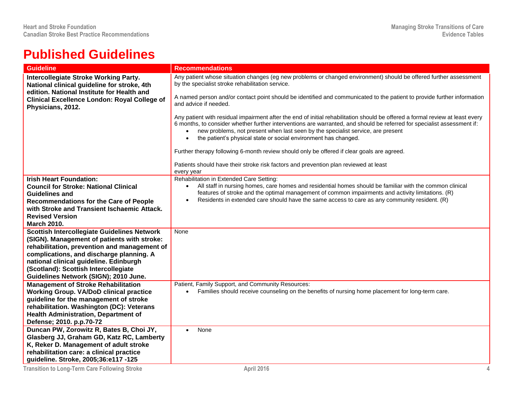## **Published Guidelines**

| <b>Guideline</b>                                                                                                                          | <b>Recommendations</b>                                                                                                                                                                                                                                                                                                                                                                                                      |  |  |  |  |
|-------------------------------------------------------------------------------------------------------------------------------------------|-----------------------------------------------------------------------------------------------------------------------------------------------------------------------------------------------------------------------------------------------------------------------------------------------------------------------------------------------------------------------------------------------------------------------------|--|--|--|--|
| <b>Intercollegiate Stroke Working Party.</b><br>National clinical guideline for stroke, 4th<br>edition. National Institute for Health and | Any patient whose situation changes (eg new problems or changed environment) should be offered further assessment<br>by the specialist stroke rehabilitation service.                                                                                                                                                                                                                                                       |  |  |  |  |
| <b>Clinical Excellence London: Royal College of</b><br>Physicians, 2012.                                                                  | A named person and/or contact point should be identified and communicated to the patient to provide further information<br>and advice if needed.                                                                                                                                                                                                                                                                            |  |  |  |  |
|                                                                                                                                           | Any patient with residual impairment after the end of initial rehabilitation should be offered a formal review at least every<br>6 months, to consider whether further interventions are warranted, and should be referred for specialist assessment if:<br>new problems, not present when last seen by the specialist service, are present<br>the patient's physical state or social environment has changed.<br>$\bullet$ |  |  |  |  |
|                                                                                                                                           | Further therapy following 6-month review should only be offered if clear goals are agreed.                                                                                                                                                                                                                                                                                                                                  |  |  |  |  |
|                                                                                                                                           | Patients should have their stroke risk factors and prevention plan reviewed at least<br>every year                                                                                                                                                                                                                                                                                                                          |  |  |  |  |
| <b>Irish Heart Foundation:</b>                                                                                                            | Rehabilitation in Extended Care Setting:                                                                                                                                                                                                                                                                                                                                                                                    |  |  |  |  |
| <b>Council for Stroke: National Clinical</b>                                                                                              | All staff in nursing homes, care homes and residential homes should be familiar with the common clinical<br>$\bullet$                                                                                                                                                                                                                                                                                                       |  |  |  |  |
| <b>Guidelines and</b>                                                                                                                     | features of stroke and the optimal management of common impairments and activity limitations. (R)<br>Residents in extended care should have the same access to care as any community resident. (R)<br>$\bullet$                                                                                                                                                                                                             |  |  |  |  |
| <b>Recommendations for the Care of People</b><br>with Stroke and Transient Ischaemic Attack.                                              |                                                                                                                                                                                                                                                                                                                                                                                                                             |  |  |  |  |
| <b>Revised Version</b>                                                                                                                    |                                                                                                                                                                                                                                                                                                                                                                                                                             |  |  |  |  |
| <b>March 2010.</b>                                                                                                                        |                                                                                                                                                                                                                                                                                                                                                                                                                             |  |  |  |  |
| <b>Scottish Intercollegiate Guidelines Network</b>                                                                                        | None                                                                                                                                                                                                                                                                                                                                                                                                                        |  |  |  |  |
| (SIGN). Management of patients with stroke:                                                                                               |                                                                                                                                                                                                                                                                                                                                                                                                                             |  |  |  |  |
| rehabilitation, prevention and management of                                                                                              |                                                                                                                                                                                                                                                                                                                                                                                                                             |  |  |  |  |
| complications, and discharge planning. A                                                                                                  |                                                                                                                                                                                                                                                                                                                                                                                                                             |  |  |  |  |
| national clinical guideline. Edinburgh                                                                                                    |                                                                                                                                                                                                                                                                                                                                                                                                                             |  |  |  |  |
| (Scotland): Scottish Intercollegiate                                                                                                      |                                                                                                                                                                                                                                                                                                                                                                                                                             |  |  |  |  |
| Guidelines Network (SIGN); 2010 June.                                                                                                     |                                                                                                                                                                                                                                                                                                                                                                                                                             |  |  |  |  |
| <b>Management of Stroke Rehabilitation</b>                                                                                                | Patient, Family Support, and Community Resources:                                                                                                                                                                                                                                                                                                                                                                           |  |  |  |  |
| <b>Working Group. VA/DoD clinical practice</b>                                                                                            | Families should receive counseling on the benefits of nursing home placement for long-term care.<br>$\bullet$                                                                                                                                                                                                                                                                                                               |  |  |  |  |
| guideline for the management of stroke                                                                                                    |                                                                                                                                                                                                                                                                                                                                                                                                                             |  |  |  |  |
| rehabilitation. Washington (DC): Veterans                                                                                                 |                                                                                                                                                                                                                                                                                                                                                                                                                             |  |  |  |  |
| <b>Health Administration, Department of</b>                                                                                               |                                                                                                                                                                                                                                                                                                                                                                                                                             |  |  |  |  |
| Defense; 2010. p.p.70-72                                                                                                                  |                                                                                                                                                                                                                                                                                                                                                                                                                             |  |  |  |  |
| Duncan PW, Zorowitz R, Bates B, Choi JY,                                                                                                  | None<br>$\bullet$                                                                                                                                                                                                                                                                                                                                                                                                           |  |  |  |  |
| Glasberg JJ, Graham GD, Katz RC, Lamberty                                                                                                 |                                                                                                                                                                                                                                                                                                                                                                                                                             |  |  |  |  |
| K, Reker D. Management of adult stroke                                                                                                    |                                                                                                                                                                                                                                                                                                                                                                                                                             |  |  |  |  |
| rehabilitation care: a clinical practice                                                                                                  |                                                                                                                                                                                                                                                                                                                                                                                                                             |  |  |  |  |
| guideline. Stroke, 2005;36:e117 -125                                                                                                      |                                                                                                                                                                                                                                                                                                                                                                                                                             |  |  |  |  |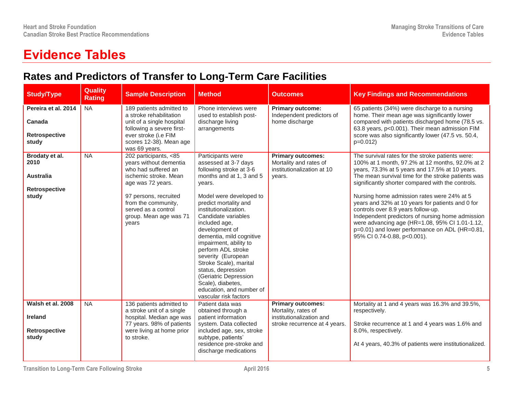## **Evidence Tables**

#### **Rates and Predictors of Transfer to Long-Term Care Facilities**

| <b>Study/Type</b>                                                           | <b>Quality</b><br><b>Rating</b> | <b>Sample Description</b>                                                                                                                                                                                                      | <b>Method</b>                                                                                                                                                                                                                                                                                                                                                                                                                                                                                          | <b>Outcomes</b>                                                                                              | <b>Key Findings and Recommendations</b>                                                                                                                                                                                                                                                                                                                                                                                                                                                                                                                                                         |
|-----------------------------------------------------------------------------|---------------------------------|--------------------------------------------------------------------------------------------------------------------------------------------------------------------------------------------------------------------------------|--------------------------------------------------------------------------------------------------------------------------------------------------------------------------------------------------------------------------------------------------------------------------------------------------------------------------------------------------------------------------------------------------------------------------------------------------------------------------------------------------------|--------------------------------------------------------------------------------------------------------------|-------------------------------------------------------------------------------------------------------------------------------------------------------------------------------------------------------------------------------------------------------------------------------------------------------------------------------------------------------------------------------------------------------------------------------------------------------------------------------------------------------------------------------------------------------------------------------------------------|
| Pereira et al. 2014<br>Canada<br><b>Retrospective</b><br>study              | <b>NA</b>                       | 189 patients admitted to<br>a stroke rehabilitation<br>unit of a single hospital<br>following a severe first-<br>ever stroke (i.e FIM<br>scores 12-38). Mean age<br>was 69 years.                                              | Phone interviews were<br>used to establish post-<br>discharge living<br>arrangements                                                                                                                                                                                                                                                                                                                                                                                                                   | <b>Primary outcome:</b><br>Independent predictors of<br>home discharge                                       | 65 patients (34%) were discharge to a nursing<br>home. Their mean age was significantly lower<br>compared with patients discharged home (78.5 vs.<br>63.8 years, p<0.001). Their mean admission FIM<br>score was also significantly lower (47.5 vs. 50.4,<br>$p=0.012$                                                                                                                                                                                                                                                                                                                          |
| Brodaty et al.<br>2010<br><b>Australia</b><br><b>Retrospective</b><br>study | <b>NA</b>                       | 202 participants, <85<br>years without dementia<br>who had suffered an<br>ischemic stroke. Mean<br>age was 72 years.<br>97 persons, recruited<br>from the community,<br>served as a control<br>group. Mean age was 71<br>years | Participants were<br>assessed at 3-7 days<br>following stroke at 3-6<br>months and at 1, 3 and 5<br>years.<br>Model were developed to<br>predict mortality and<br>institutionalization.<br>Candidate variables<br>included age,<br>development of<br>dementia, mild cognitive<br>impairment, ability to<br>perform ADL stroke<br>severity (European<br>Stroke Scale), marital<br>status, depression<br>(Geriatric Depression<br>Scale), diabetes,<br>education, and number of<br>vascular risk factors | <b>Primary outcomes:</b><br>Mortality and rates of<br>institutionalization at 10<br>vears.                   | The survival rates for the stroke patients were:<br>100% at 1 month, 97.2% at 12 months, 92.0% at 2<br>years, 73.3% at 5 years and 17.5% at 10 years.<br>The mean survival time for the stroke patients was<br>significantly shorter compared with the controls.<br>Nursing home admission rates were 24% at 5<br>years and 32% at 10 years for patients and 0 for<br>controls over 8.9 years follow-up.<br>Independent predictors of nursing home admission<br>were advancing age (HR=1.08, 95% CI 1.01-1.12,<br>p=0.01) and lower performance on ADL (HR=0.81,<br>95% CI 0.74-0.88, p<0.001). |
| Walsh et al. 2008<br><b>Ireland</b><br>Retrospective<br>study               | <b>NA</b>                       | 136 patients admitted to<br>a stroke unit of a single<br>hospital. Median age was<br>77 years. 98% of patients<br>were living at home prior<br>to stroke.                                                                      | Patient data was<br>obtained through a<br>patient information<br>system. Data collected<br>included age, sex, stroke<br>subtype, patients'<br>residence pre-stroke and<br>discharge medications                                                                                                                                                                                                                                                                                                        | <b>Primary outcomes:</b><br>Mortality, rates of<br>institutionalization and<br>stroke recurrence at 4 years. | Mortality at 1 and 4 years was 16.3% and 39.5%,<br>respectively.<br>Stroke recurrence at 1 and 4 years was 1.6% and<br>8.0%, respectively.<br>At 4 years, 40.3% of patients were institutionalized.                                                                                                                                                                                                                                                                                                                                                                                             |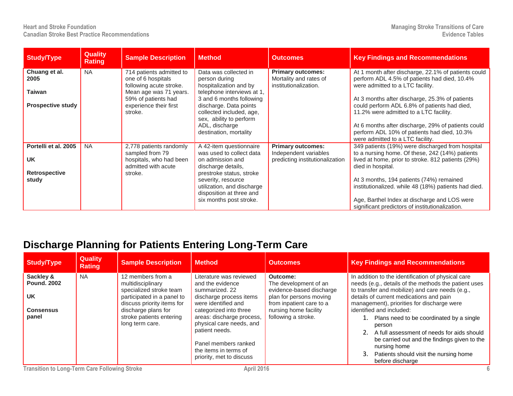| <b>Study/Type</b>                                                  | <b>Quality</b><br><b>Rating</b> | <b>Sample Description</b>                                                                               | <b>Method</b>                                                                                                                                                                                                                        | <b>Outcomes</b>                                                                      | <b>Key Findings and Recommendations</b>                                                                                                                                                                                                                                                                                                                                               |
|--------------------------------------------------------------------|---------------------------------|---------------------------------------------------------------------------------------------------------|--------------------------------------------------------------------------------------------------------------------------------------------------------------------------------------------------------------------------------------|--------------------------------------------------------------------------------------|---------------------------------------------------------------------------------------------------------------------------------------------------------------------------------------------------------------------------------------------------------------------------------------------------------------------------------------------------------------------------------------|
| Chuang et al.<br>2005<br>Taiwan                                    | <b>NA</b>                       | 714 patients admitted to<br>one of 6 hospitals<br>following acute stroke.<br>Mean age was 71 years.     | Data was collected in<br>person during<br>hospitalization and by<br>telephone interviews at 1,                                                                                                                                       | <b>Primary outcomes:</b><br>Mortality and rates of<br>institutionalization.          | At 1 month after discharge, 22.1% of patients could<br>perform ADL 4.5% of patients had died, 10.4%<br>were admitted to a LTC facility.                                                                                                                                                                                                                                               |
| <b>Prospective study</b>                                           |                                 | 59% of patients had<br>experience their first<br>stroke.                                                | 3 and 6 months following<br>discharge. Data points<br>collected included, age,<br>sex, ability to perform<br>ADL, discharge<br>destination, mortality                                                                                |                                                                                      | At 3 months after discharge, 25.3% of patients<br>could perform ADL 6.8% of patients had died,<br>11.2% were admitted to a LTC facility.<br>At 6 months after discharge, 29% of patients could<br>perform ADL 10% of patients had died, 10.3%<br>were admitted to a LTC facility.                                                                                                     |
| Portelli et al. 2005<br><b>UK</b><br><b>Retrospective</b><br>study | <b>NA</b>                       | 2,778 patients randomly<br>sampled from 79<br>hospitals, who had been<br>admitted with acute<br>stroke. | A 42-item questionnaire<br>was used to collect data<br>on admission and<br>discharge details,<br>prestroke status, stroke<br>severity, resource<br>utilization, and discharge<br>disposition at three and<br>six months post stroke. | <b>Primary outcomes:</b><br>Independent variables<br>predicting institutionalization | 349 patients (19%) were discharged from hospital<br>to a nursing home. Of these, 242 (14%) patients<br>lived at home, prior to stroke. 812 patients (29%)<br>died in hospital.<br>At 3 months, 194 patients (74%) remained<br>institutionalized. while 48 (18%) patients had died.<br>Age, Barthel Index at discharge and LOS were<br>significant predictors of institutionalization. |

#### **Discharge Planning for Patients Entering Long-Term Care**

| Study/Type                                                       | <b>Quality</b><br><b>Rating</b> | <b>Sample Description</b>                                                                                                                            | <b>Method</b>                                                                                                                                        | <b>Outcomes</b>                                                                                                                               | <b>Key Findings and Recommendations</b>                                                                                                                                                                                                                                            |
|------------------------------------------------------------------|---------------------------------|------------------------------------------------------------------------------------------------------------------------------------------------------|------------------------------------------------------------------------------------------------------------------------------------------------------|-----------------------------------------------------------------------------------------------------------------------------------------------|------------------------------------------------------------------------------------------------------------------------------------------------------------------------------------------------------------------------------------------------------------------------------------|
| Sackley &<br><b>Pound, 2002</b><br><b>UK</b><br><b>Consensus</b> | <b>NA</b>                       | 12 members from a<br>multidisciplinary<br>specialized stroke team<br>participated in a panel to<br>discuss priority items for<br>discharge plans for | Literature was reviewed<br>and the evidence<br>summarized, 22<br>discharge process items<br>were identified and<br>categorized into three            | Outcome:<br>The development of an<br>evidence-based discharge<br>plan for persons moving<br>from inpatient care to a<br>nursing home facility | In addition to the identification of physical care<br>needs (e.g., details of the methods the patient uses<br>to transfer and mobilize) and care needs (e.g.,<br>details of current medications and pain<br>management), priorities for discharge were<br>identified and included: |
| panel                                                            |                                 | stroke patients entering<br>long term care.                                                                                                          | areas: discharge process,<br>physical care needs, and<br>patient needs.<br>Panel members ranked<br>the items in terms of<br>priority, met to discuss | following a stroke.                                                                                                                           | Plans need to be coordinated by a single<br>person<br>A full assessment of needs for aids should<br>be carried out and the findings given to the<br>nursing home<br>Patients should visit the nursing home<br>before discharge                                                     |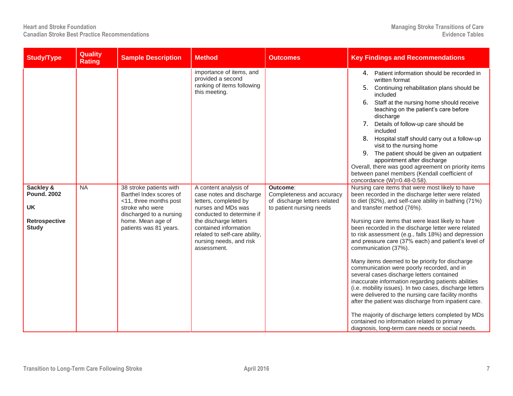| <b>Study/Type</b>                                                             | <b>Quality</b><br><b>Rating</b> | <b>Sample Description</b>                                                                                                                                                 | <b>Method</b>                                                                                                                                                                                                                                              | <b>Outcomes</b>                                                                                   | <b>Key Findings and Recommendations</b>                                                                                                                                                                                                                                                                                                                                                                                                                                                                                                                                                                                                                                                                                                                                                                                                                                                                                                                                              |
|-------------------------------------------------------------------------------|---------------------------------|---------------------------------------------------------------------------------------------------------------------------------------------------------------------------|------------------------------------------------------------------------------------------------------------------------------------------------------------------------------------------------------------------------------------------------------------|---------------------------------------------------------------------------------------------------|--------------------------------------------------------------------------------------------------------------------------------------------------------------------------------------------------------------------------------------------------------------------------------------------------------------------------------------------------------------------------------------------------------------------------------------------------------------------------------------------------------------------------------------------------------------------------------------------------------------------------------------------------------------------------------------------------------------------------------------------------------------------------------------------------------------------------------------------------------------------------------------------------------------------------------------------------------------------------------------|
|                                                                               |                                 |                                                                                                                                                                           | importance of items, and<br>provided a second<br>ranking of items following<br>this meeting.                                                                                                                                                               |                                                                                                   | Patient information should be recorded in<br>4.<br>written format<br>Continuing rehabilitation plans should be<br>5.<br>included<br>Staff at the nursing home should receive<br>6.<br>teaching on the patient's care before<br>discharge<br>7. Details of follow-up care should be<br>included<br>8. Hospital staff should carry out a follow-up<br>visit to the nursing home<br>9. The patient should be given an outpatient<br>appointment after discharge<br>Overall, there was good agreement on priority items<br>between panel members (Kendall coefficient of<br>concordance (W)=0.48-0.58).                                                                                                                                                                                                                                                                                                                                                                                  |
| Sackley &<br><b>Pound. 2002</b><br><b>UK</b><br>Retrospective<br><b>Study</b> | NA                              | 38 stroke patients with<br>Barthel Index scores of<br><11, three months post<br>stroke who were<br>discharged to a nursing<br>home. Mean age of<br>patients was 81 years. | A content analysis of<br>case notes and discharge<br>letters, completed by<br>nurses and MDs was<br>conducted to determine if<br>the discharge letters<br>contained information<br>related to self-care ability,<br>nursing needs, and risk<br>assessment. | Outcome:<br>Completeness and accuracy<br>of discharge letters related<br>to patient nursing needs | Nursing care items that were most likely to have<br>been recorded in the discharge letter were related<br>to diet (82%), and self-care ability in bathing (71%)<br>and transfer method (76%).<br>Nursing care items that were least likely to have<br>been recorded in the discharge letter were related<br>to risk assessment (e.g., falls 18%) and depression<br>and pressure care (37% each) and patient's level of<br>communication (37%).<br>Many items deemed to be priority for discharge<br>communication were poorly recorded, and in<br>several cases discharge letters contained<br>inaccurate information regarding patients abilities<br>(i.e. mobility issues). In two cases, discharge letters<br>were delivered to the nursing care facility months<br>after the patient was discharge from inpatient care.<br>The majority of discharge letters completed by MDs<br>contained no information related to primary<br>diagnosis, long-term care needs or social needs. |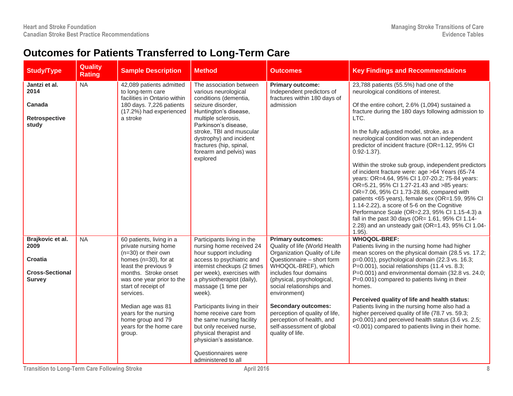### **Outcomes for Patients Transferred to Long-Term Care**

| <b>Study/Type</b>                                                                     | Quality<br><b>Rating</b> | <b>Sample Description</b>                                                                                                                                                                                                                                                                                                     | <b>Method</b>                                                                                                                                                                                                                                                                                                                                                                                                                                                  | <b>Outcomes</b>                                                                                                                                                                                                                                                                                                                                                                                | <b>Key Findings and Recommendations</b>                                                                                                                                                                                                                                                                                                                                                                                                                                                                                                                                                                                                                                                                                                                                                                                                                                                               |
|---------------------------------------------------------------------------------------|--------------------------|-------------------------------------------------------------------------------------------------------------------------------------------------------------------------------------------------------------------------------------------------------------------------------------------------------------------------------|----------------------------------------------------------------------------------------------------------------------------------------------------------------------------------------------------------------------------------------------------------------------------------------------------------------------------------------------------------------------------------------------------------------------------------------------------------------|------------------------------------------------------------------------------------------------------------------------------------------------------------------------------------------------------------------------------------------------------------------------------------------------------------------------------------------------------------------------------------------------|-------------------------------------------------------------------------------------------------------------------------------------------------------------------------------------------------------------------------------------------------------------------------------------------------------------------------------------------------------------------------------------------------------------------------------------------------------------------------------------------------------------------------------------------------------------------------------------------------------------------------------------------------------------------------------------------------------------------------------------------------------------------------------------------------------------------------------------------------------------------------------------------------------|
| Jantzi et al.<br>2014<br>Canada<br>Retrospective<br>study                             | <b>NA</b>                | 42,089 patients admitted<br>to long-term care<br>facilities in Ontario within<br>180 days. 7,226 patients<br>(17.2%) had experienced<br>a stroke                                                                                                                                                                              | The association between<br>various neurological<br>conditions (dementia,<br>seizure disorder,<br>Huntington's disease,<br>multiple sclerosis,<br>Parkinson's disease,<br>stroke, TBI and muscular<br>dystrophy) and incident<br>fractures (hip, spinal,<br>forearm and pelvis) was<br>explored                                                                                                                                                                 | <b>Primary outcome:</b><br>Independent predictors of<br>fractures within 180 days of<br>admission                                                                                                                                                                                                                                                                                              | 23,788 patients (55.5%) had one of the<br>neurological conditions of interest.<br>Of the entire cohort, 2.6% (1,094) sustained a<br>fracture during the 180 days following admission to<br>LTC.<br>In the fully adjusted model, stroke, as a<br>neurological condition was not an independent<br>predictor of incident fracture (OR=1.12, 95% CI<br>$0.92 - 1.37$ ).<br>Within the stroke sub group, independent predictors<br>of incident fracture were: age >64 Years (65-74<br>years: OR=4.64, 95% CI 1.07-20.2; 75-84 years:<br>OR=5.21, 95% CI 1.27-21.43 and >85 years:<br>OR=7.06, 95% Cl 1.73-28.86, compared with<br>patients <65 years), female sex (OR=1.59, 95% CI<br>1.14-2.22), a score of 5-6 on the Cognitive<br>Performance Scale (OR=2.23, 95% Cl 1.15-4.3) a<br>fall in the past 30 days (OR= 1.61, 95% CI 1.14-<br>2.28) and an unsteady gait (OR=1.43, 95% Cl 1.04-<br>$1.95$ ). |
| Brajkovic et al.<br>2009<br><b>Croatia</b><br><b>Cross-Sectional</b><br><b>Survey</b> | NA                       | 60 patients, living in a<br>private nursing home<br>$(n=30)$ or their own<br>homes $(n=30)$ , for at<br>least the previous 9<br>months. Stroke onset<br>was one year prior to the<br>start of receipt of<br>services.<br>Median age was 81<br>years for the nursing<br>home group and 79<br>years for the home care<br>group. | Participants living in the<br>nursing home received 24<br>hour support including<br>access to psychiatric and<br>internist checkups (2 times<br>per week), exercises with<br>a physiotherapist (daily),<br>massage (1 time per<br>week).<br>Participants living in their<br>home receive care from<br>the same nursing facility<br>but only received nurse,<br>physical therapist and<br>physician's assistance.<br>Questionnaires were<br>administered to all | <b>Primary outcomes:</b><br>Quality of life (World Health<br>Organization Quality of Life<br>Questionnaire - short form<br>WHOQOL-BREF), which<br>includes four domains<br>(physical, psychological,<br>social relationships and<br>environment)<br><b>Secondary outcomes:</b><br>perception of quality of life,<br>perception of health, and<br>self-assessment of global<br>quality of life. | <b>WHOQOL-BREF:</b><br>Patients living in the nursing home had higher<br>mean scores on the physical domain (28.5 vs. 17.2;<br>p=0.001), psychological domain (22.3 vs. 16.3;<br>P=0.001), social relationships (11.4 vs. 8.3;<br>P=0.001) and environmental domain (32.8 vs. 24.0;<br>P=0.001) compared to patients living in their<br>homes.<br>Perceived quality of life and health status:<br>Patients living in the nursing home also had a<br>higher perceived quality of life (78.7 vs. 59.3;<br>p<0.001) and perceived health status (3.6 vs. 2.5;<br><0.001) compared to patients living in their home.                                                                                                                                                                                                                                                                                      |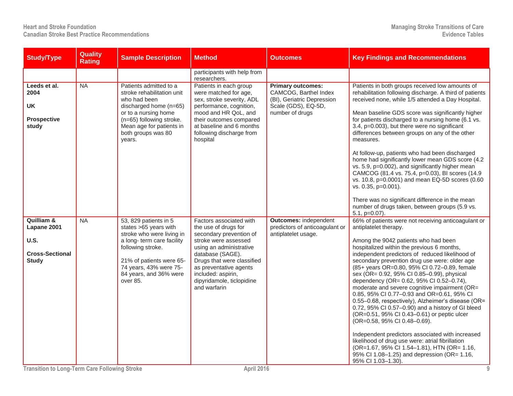| <b>Study/Type</b>                                                           | <b>Quality</b><br><b>Rating</b> | <b>Sample Description</b>                                                                                                                                                                                                  | <b>Method</b>                                                                                                                                                                                                                                                                | <b>Outcomes</b>                                                                                                           | <b>Key Findings and Recommendations</b>                                                                                                                                                                                                                                                                                                                                                                                                                                                                                                                                                                                                                                                                                                                                                                                                                                                                                               |
|-----------------------------------------------------------------------------|---------------------------------|----------------------------------------------------------------------------------------------------------------------------------------------------------------------------------------------------------------------------|------------------------------------------------------------------------------------------------------------------------------------------------------------------------------------------------------------------------------------------------------------------------------|---------------------------------------------------------------------------------------------------------------------------|---------------------------------------------------------------------------------------------------------------------------------------------------------------------------------------------------------------------------------------------------------------------------------------------------------------------------------------------------------------------------------------------------------------------------------------------------------------------------------------------------------------------------------------------------------------------------------------------------------------------------------------------------------------------------------------------------------------------------------------------------------------------------------------------------------------------------------------------------------------------------------------------------------------------------------------|
|                                                                             |                                 |                                                                                                                                                                                                                            | participants with help from<br>researchers.                                                                                                                                                                                                                                  |                                                                                                                           |                                                                                                                                                                                                                                                                                                                                                                                                                                                                                                                                                                                                                                                                                                                                                                                                                                                                                                                                       |
| Leeds et al.<br>2004<br><b>UK</b><br><b>Prospective</b><br>study            | NA                              | Patients admitted to a<br>stroke rehabilitation unit<br>who had been<br>discharged home (n=65)<br>or to a nursing home<br>(n=65) following stroke.<br>Mean age for patients in<br>both groups was 80<br>years.             | Patients in each group<br>were matched for age,<br>sex, stroke severity, ADL<br>performance, cognition,<br>mood and HR QoL, and<br>their outcomes compared<br>at baseline and 6 months<br>following discharge from<br>hospital                                               | <b>Primary outcomes:</b><br>CAMCOG, Barthel Index<br>(BI), Geriatric Depression<br>Scale (GDS), EQ-5D,<br>number of drugs | Patients in both groups received low amounts of<br>rehabilitation following discharge. A third of patients<br>received none, while 1/5 attended a Day Hospital.<br>Mean baseline GDS score was significantly higher<br>for patients discharged to a nursing home (6.1 vs.<br>3.4, p=0.003), but there were no significant<br>differences between groups on any of the other<br>measures.<br>At follow-up, patients who had been discharged<br>home had significantly lower mean GDS score (4.2)<br>vs. 5.9, p=0.002), and significantly higher mean<br>CAMCOG (81.4 vs. 75.4, p=0.03), BI scores (14.9<br>vs. 10.8, p=0.0001) and mean EQ-5D scores (0.60<br>vs. 0.35, p=0.001).<br>There was no significant difference in the mean                                                                                                                                                                                                   |
|                                                                             |                                 |                                                                                                                                                                                                                            |                                                                                                                                                                                                                                                                              |                                                                                                                           | number of drugs taken, between groups (5.9 vs.<br>$5.1, p=0.07$ ).                                                                                                                                                                                                                                                                                                                                                                                                                                                                                                                                                                                                                                                                                                                                                                                                                                                                    |
| Quilliam &<br>Lapane 2001<br>U.S.<br><b>Cross-Sectional</b><br><b>Study</b> | NA                              | 53, 829 patients in 5<br>states > 65 years with<br>stroke who were living in<br>a long-term care facility<br>following stroke.<br>21% of patients were 65-<br>74 years, 43% were 75-<br>84 years, and 36% were<br>over 85. | Factors associated with<br>the use of drugs for<br>secondary prevention of<br>stroke were assessed<br>using an administrative<br>database (SAGE).<br>Drugs that were classified<br>as preventative agents<br>included: aspirin,<br>dipyridamole, ticlopidine<br>and warfarin | <b>Outcomes: independent</b><br>predictors of anticoagulant or<br>antiplatelet usage.                                     | 66% of patients were not receiving anticoagulant or<br>antiplatelet therapy.<br>Among the 9042 patients who had been<br>hospitalized within the previous 6 months,<br>independent predictors of reduced likelihood of<br>secondary prevention drug use were: older age<br>(85+ years OR=0.80, 95% CI 0.72-0.89, female<br>sex (OR= 0.92, 95% CI 0.85-0.99), physical<br>dependency (OR= 0.62, 95% CI 0.52-0.74),<br>moderate and severe cognitive impairment (OR=<br>0.85, 95% CI 0.77-0.93 and OR=0.61, 95% CI<br>0.55-0.68, respectively), Alzheimer's disease (OR=<br>0.72, 95% CI 0.57-0.90) and a history of GI bleed<br>(OR=0.51, 95% CI 0.43-0.61) or peptic ulcer<br>(OR=0.58, 95% CI 0.48-0.69).<br>Independent predictors associated with increased<br>likelihood of drug use were: atrial fibrillation<br>(OR=1.67, 95% CI 1.54-1.81), HTN (OR= 1.16,<br>95% CI 1.08-1.25) and depression (OR= 1.16,<br>95% CI 1.03-1.30). |